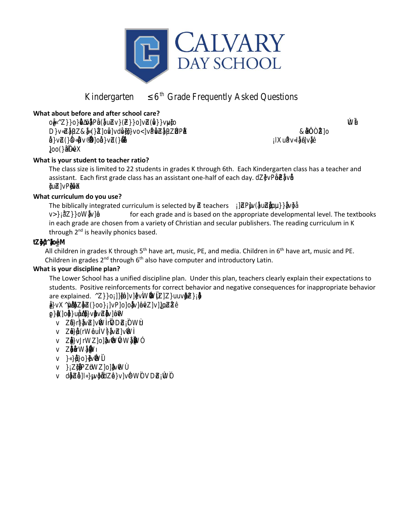

# **Kindergarten 6 th Grade Frequently Asked Questions**

**What about before and after school care?**

o**@%@BEGOE!}Z**y ΂-**(šΩγ**γμήδος ο οποίος ο οποίος επιτροποιησίας της προσωπικής αναφοράς της προσωπικής αναφοράς της δια Dy**pyche E**dd Osoy **OEDE ©‰@¥¥¤® ©**∞€‰E <del>G</del>eneral Alexander and Alexander and Alexander and Alexander and Alexander and Alexander and Alexander .<br>ا βλο())<br>G

 $\mathsf{R}\mathsf{E}$  . The contract of  $\mathsf{R}\mathsf{E}$  is a set of  $\mathsf{R}\mathsf{E}$  . The contract of  $\mathsf{R}\mathsf{E}$ Œ¨îñ‰ŒZ]o **AKPECELLE** 

**What is your student to teacher ratio?**

The class size is limited to 22 students in grades K through 6th. Each Kindergarten class has a teacher and assistant. Each first grade class has an assistant one-half of each day. d $\mathbb{P}\mathbb{G}$ jp¥š

**What curriculum do you use?**

The biblically integrated curriculum is selected by  $\vec{\mathbf{x}}$ eachers v(O**pi**pūs

v**ex**W for each grade and is based on the appropriate developmental level. The textbooks in each grade are chosen from a variety of Christian and secular publishers. The reading curriculum in K through 2<sup>nd</sup> is heavily phonics based.

#### t**AM** š}µ^‰]-

All children in grades K through 5<sup>th</sup> have art, music, PE, and media. Children in 6<sup>th</sup> have art, music and PE. Children in grades  $2^{nd}$  through  $6^{th}$  also have computer and introductory Latin.

## **What is your discipline plan?**

The Lower School has a unified discipline plan. Under this plan, teachers clearly explain their expectations to students. Positive reinforcements for correct behavior and negative consequences for inappropriate behavior are explained. ØØ%/vW\$EAuv

#### **@∰‱}^**P}o}%%‰¤Zβ ŒÆ‰š}-ZΥ

**A}}¤DE###%** 

- v **yrkevôloñ**Ziôõ
- v **po**frWou**ũ¢£w**ő
- v **Şo**sw**¤y&vv**wDecõ
- v **Korvet**õ
- v **@**maay¥iWő
- v **þustvæynðv**ô
- v dβo∰G∰EaZyyMivñD®A